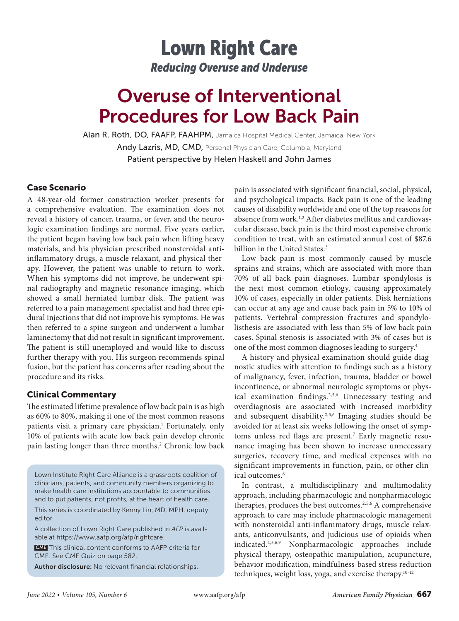## Lown Right Care *Reducing Overuse and Underuse*

# Overuse of Interventional Procedures for Low Back Pain

Alan R. Roth, DO, FAAFP, FAAHPM, Jamaica Hospital Medical Center, Jamaica, New York Andy Lazris, MD, CMD, Personal Physician Care, Columbia, Maryland Patient perspective by Helen Haskell and John James

## Case Scenario

A 48-year-old former construction worker presents for a comprehensive evaluation. The examination does not reveal a history of cancer, trauma, or fever, and the neurologic examination findings are normal. Five years earlier, the patient began having low back pain when lifting heavy materials, and his physician prescribed nonsteroidal antiinflammatory drugs, a muscle relaxant, and physical therapy. However, the patient was unable to return to work. When his symptoms did not improve, he underwent spinal radiography and magnetic resonance imaging, which showed a small herniated lumbar disk. The patient was referred to a pain management specialist and had three epidural injections that did not improve his symptoms. He was then referred to a spine surgeon and underwent a lumbar laminectomy that did not result in significant improvement. The patient is still unemployed and would like to discuss further therapy with you. His surgeon recommends spinal fusion, but the patient has concerns after reading about the procedure and its risks.

## Clinical Commentary

The estimated lifetime prevalence of low back pain is as high as 60% to 80%, making it one of the most common reasons patients visit a primary care physician.<sup>1</sup> Fortunately, only 10% of patients with acute low back pain develop chronic pain lasting longer than three months.<sup>2</sup> Chronic low back

Lown Institute Right Care Alliance is a grassroots coalition of clinicians, patients, and community members organizing to make health care institutions accountable to communities and to put patients, not profits, at the heart of health care.

This series is coordinated by Kenny Lin, MD, MPH, deputy editor.

A collection of Lown Right Care published in *AFP* is available at https://www.aafp.org/afp/rightcare.

 CME This clinical content conforms to AAFP criteria for CME. See CME Quiz on page 582.

Author disclosure: No relevant financial relationships.

pain is associated with significant financial, social, physical, and psychological impacts. Back pain is one of the leading causes of disability worldwide and one of the top reasons for absence from work.<sup>1,2</sup> After diabetes mellitus and cardiovascular disease, back pain is the third most expensive chronic condition to treat, with an estimated annual cost of \$87.6 billion in the United States.<sup>3</sup>

Low back pain is most commonly caused by muscle sprains and strains, which are associated with more than 70% of all back pain diagnoses. Lumbar spondylosis is the next most common etiology, causing approximately 10% of cases, especially in older patients. Disk herniations can occur at any age and cause back pain in 5% to 10% of patients. Vertebral compression fractures and spondylolisthesis are associated with less than 5% of low back pain cases. Spinal stenosis is associated with 3% of cases but is one of the most common diagnoses leading to surgery.4

A history and physical examination should guide diagnostic studies with attention to findings such as a history of malignancy, fever, infection, trauma, bladder or bowel incontinence, or abnormal neurologic symptoms or physical examination findings.<sup>2,5,6</sup> Unnecessary testing and overdiagnosis are associated with increased morbidity and subsequent disability.2,5,6 Imaging studies should be avoided for at least six weeks following the onset of symptoms unless red flags are present.<sup>7</sup> Early magnetic resonance imaging has been shown to increase unnecessary surgeries, recovery time, and medical expenses with no significant improvements in function, pain, or other clinical outcomes.<sup>8</sup>

In contrast, a multidisciplinary and multimodality approach, including pharmacologic and nonpharmacologic therapies, produces the best outcomes.2,5,6 A comprehensive approach to care may include pharmacologic management with nonsteroidal anti-inflammatory drugs, muscle relaxants, anticonvulsants, and judicious use of opioids when indicated.2,5,6,9 Nonpharmacologic approaches include physical therapy, osteopathic manipulation, acupuncture, behavior modification, mindfulness-based stress reduction techniques, weight loss, yoga, and exercise therapy.10-12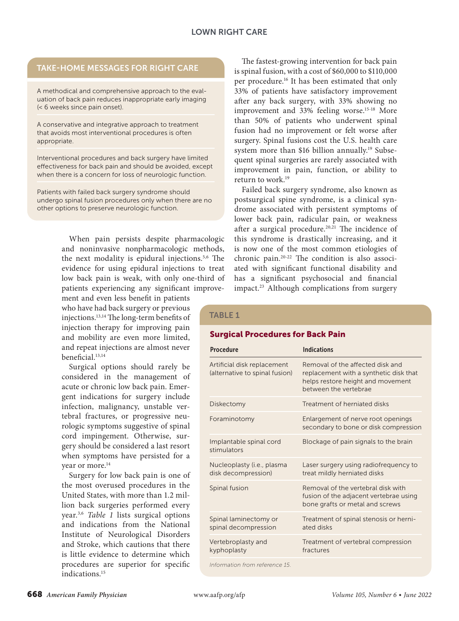## TAKE-HOME MESSAGES FOR RIGHT CARE

A methodical and comprehensive approach to the evaluation of back pain reduces inappropriate early imaging (< 6 weeks since pain onset).

A conservative and integrative approach to treatment that avoids most interventional procedures is often appropriate.

Interventional procedures and back surgery have limited effectiveness for back pain and should be avoided, except when there is a concern for loss of neurologic function.

Patients with failed back surgery syndrome should undergo spinal fusion procedures only when there are no other options to preserve neurologic function.

> When pain persists despite pharmacologic and noninvasive nonpharmacologic methods, the next modality is epidural injections.5,6 The evidence for using epidural injections to treat low back pain is weak, with only one-third of patients experiencing any significant improve-

ment and even less benefit in patients who have had back surgery or previous injections.13,14 The long-term benefits of injection therapy for improving pain and mobility are even more limited, and repeat injections are almost never beneficial.13,14

Surgical options should rarely be considered in the management of acute or chronic low back pain. Emergent indications for surgery include infection, malignancy, unstable vertebral fractures, or progressive neurologic symptoms suggestive of spinal cord impingement. Otherwise, surgery should be considered a last resort when symptoms have persisted for a year or more.<sup>14</sup>

Surgery for low back pain is one of the most overused procedures in the United States, with more than 1.2 million back surgeries performed every year.3,6 *Table 1* lists surgical options and indications from the National Institute of Neurological Disorders and Stroke, which cautions that there is little evidence to determine which procedures are superior for specific indications.15

The fastest-growing intervention for back pain is spinal fusion, with a cost of \$60,000 to \$110,000 per procedure.16 It has been estimated that only 33% of patients have satisfactory improvement after any back surgery, with 33% showing no improvement and 33% feeling worse.<sup>15-18</sup> More than 50% of patients who underwent spinal fusion had no improvement or felt worse after surgery. Spinal fusions cost the U.S. health care system more than \$16 billion annually.19 Subsequent spinal surgeries are rarely associated with improvement in pain, function, or ability to return to work.19

Failed back surgery syndrome, also known as postsurgical spine syndrome, is a clinical syndrome associated with persistent symptoms of lower back pain, radicular pain, or weakness after a surgical procedure.<sup>20,21</sup> The incidence of this syndrome is drastically increasing, and it is now one of the most common etiologies of chronic pain.20-22 The condition is also associated with significant functional disability and has a significant psychosocial and financial impact.23 Although complications from surgery

#### TABLE 1

#### Surgical Procedures for Back Pain

| <b>Procedure</b>                                              | <b>Indications</b>                                                                                                                       |
|---------------------------------------------------------------|------------------------------------------------------------------------------------------------------------------------------------------|
| Artificial disk replacement<br>(alternative to spinal fusion) | Removal of the affected disk and<br>replacement with a synthetic disk that<br>helps restore height and movement<br>between the vertebrae |
| Diskectomy                                                    | Treatment of herniated disks                                                                                                             |
| Foraminotomy                                                  | Enlargement of nerve root openings<br>secondary to bone or disk compression                                                              |
| Implantable spinal cord<br>stimulators                        | Blockage of pain signals to the brain                                                                                                    |
| Nucleoplasty (i.e., plasma<br>disk decompression)             | Laser surgery using radiofrequency to<br>treat mildly herniated disks                                                                    |
| Spinal fusion                                                 | Removal of the vertebral disk with<br>fusion of the adjacent vertebrae using<br>bone grafts or metal and screws                          |
| Spinal laminectomy or<br>spinal decompression                 | Treatment of spinal stenosis or herni-<br>ated disks                                                                                     |
| Vertebroplasty and<br>kyphoplasty                             | Treatment of vertebral compression<br>fractures                                                                                          |
| Information from reference 15.                                |                                                                                                                                          |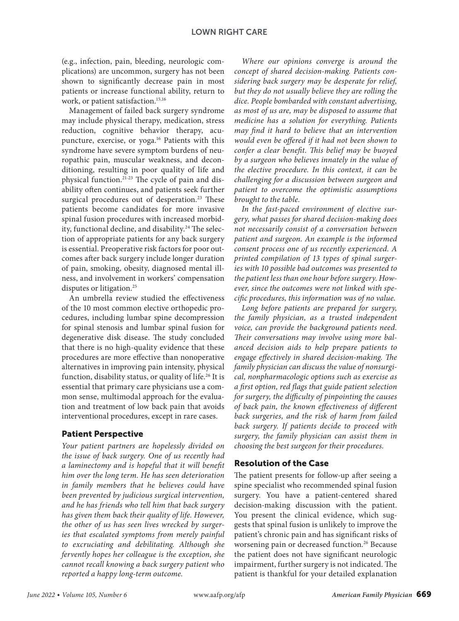(e.g., infection, pain, bleeding, neurologic complications) are uncommon, surgery has not been shown to significantly decrease pain in most patients or increase functional ability, return to work, or patient satisfaction.<sup>15,16</sup>

Management of failed back surgery syndrome may include physical therapy, medication, stress reduction, cognitive behavior therapy, acupuncture, exercise, or yoga.16 Patients with this syndrome have severe symptom burdens of neuropathic pain, muscular weakness, and deconditioning, resulting in poor quality of life and physical function.21-23 The cycle of pain and disability often continues, and patients seek further surgical procedures out of desperation.<sup>23</sup> These patients become candidates for more invasive spinal fusion procedures with increased morbidity, functional decline, and disability.<sup>24</sup> The selection of appropriate patients for any back surgery is essential. Preoperative risk factors for poor outcomes after back surgery include longer duration of pain, smoking, obesity, diagnosed mental illness, and involvement in workers' compensation disputes or litigation.<sup>25</sup>

An umbrella review studied the effectiveness of the 10 most common elective orthopedic procedures, including lumbar spine decompression for spinal stenosis and lumbar spinal fusion for degenerative disk disease. The study concluded that there is no high-quality evidence that these procedures are more effective than nonoperative alternatives in improving pain intensity, physical function, disability status, or quality of life.<sup>26</sup> It is essential that primary care physicians use a common sense, multimodal approach for the evaluation and treatment of low back pain that avoids interventional procedures, except in rare cases.

### Patient Perspective

*Your patient partners are hopelessly divided on the issue of back surgery. One of us recently had a laminectomy and is hopeful that it will benefit him over the long term. He has seen deterioration in family members that he believes could have been prevented by judicious surgical intervention, and he has friends who tell him that back surgery has given them back their quality of life. However, the other of us has seen lives wrecked by surgeries that escalated symptoms from merely painful to excruciating and debilitating. Although she fervently hopes her colleague is the exception, she cannot recall knowing a back surgery patient who reported a happy long-term outcome.*

*Where our opinions converge is around the concept of shared decision-making. Patients considering back surgery may be desperate for relief, but they do not usually believe they are rolling the dice. People bombarded with constant advertising, as most of us are, may be disposed to assume that medicine has a solution for everything. Patients may find it hard to believe that an intervention would even be offered if it had not been shown to confer a clear benefit. This belief may be buoyed by a surgeon who believes innately in the value of the elective procedure. In this context, it can be challenging for a discussion between surgeon and patient to overcome the optimistic assumptions brought to the table.*

*In the fast-paced environment of elective surgery, what passes for shared decision-making does not necessarily consist of a conversation between patient and surgeon. An example is the informed consent process one of us recently experienced. A printed compilation of 13 types of spinal surgeries with 10 possible bad outcomes was presented to the patient less than one hour before surgery. However, since the outcomes were not linked with specific procedures, this information was of no value.*

*Long before patients are prepared for surgery, the family physician, as a trusted independent voice, can provide the background patients need. Their conversations may involve using more balanced decision aids to help prepare patients to engage effectively in shared decision-making. The family physician can discuss the value of nonsurgical, nonpharmacologic options such as exercise as a first option, red flags that guide patient selection for surgery, the difficulty of pinpointing the causes of back pain, the known effectiveness of different back surgeries, and the risk of harm from failed back surgery. If patients decide to proceed with surgery, the family physician can assist them in choosing the best surgeon for their procedures.*

## Resolution of the Case

The patient presents for follow-up after seeing a spine specialist who recommended spinal fusion surgery. You have a patient-centered shared decision-making discussion with the patient. You present the clinical evidence, which suggests that spinal fusion is unlikely to improve the patient's chronic pain and has significant risks of worsening pain or decreased function.<sup>26</sup> Because the patient does not have significant neurologic impairment, further surgery is not indicated. The patient is thankful for your detailed explanation